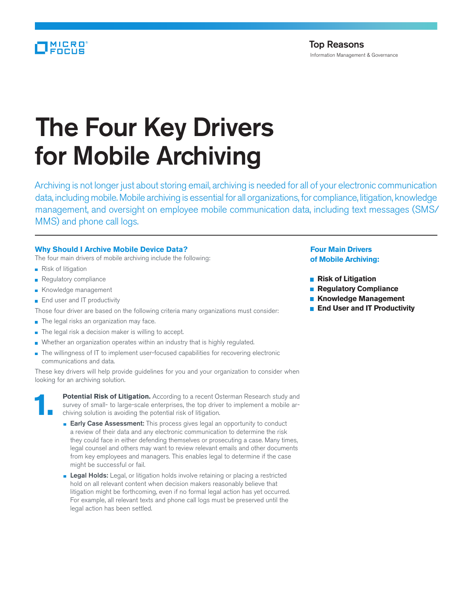# The Four Key Drivers for Mobile Archiving

Archiving is not longer just about storing email, archiving is needed for all of your electronic communication data, including mobile. Mobile archiving is essential for all organizations, for compliance, litigation, knowledge management, and oversight on employee mobile communication data, including text messages (SMS/ MMS) and phone call logs.

## **Why Should I Archive Mobile Device Data?**

- The four main drivers of mobile archiving include the following:
- Risk of litigation
- **Regulatory compliance**
- Knowledge management
- End user and IT productivity

Those four driver are based on the following criteria many organizations must consider:

- The legal risks an organization may face.
- The legal risk a decision maker is willing to accept.
- Whether an organization operates within an industry that is highly regulated.
- The willingness of IT to implement user-focused capabilities for recovering electronic communications and data.

These key drivers will help provide guidelines for you and your organization to consider when looking for an archiving solution.



**1. Potential Risk of Litigation.** According to a recent Osterman Research study and survey of small- to large-scale enterprises, the top driver to implement a mobile archiving solution is avoiding the potential risk of li survey of small- to large-scale enterprises, the top driver to implement a mobile archiving solution is avoiding the potential risk of litigation.

- **Early Case Assessment:** This process gives legal an opportunity to conduct a review of their data and any electronic communication to determine the risk they could face in either defending themselves or prosecuting a case. Many times, legal counsel and others may want to review relevant emails and other documents from key employees and managers. This enables legal to determine if the case might be successful or fail.
- **Legal Holds:** Legal, or litigation holds involve retaining or placing a restricted hold on all relevant content when decision makers reasonably believe that litigation might be forthcoming, even if no formal legal action has yet occurred. For example, all relevant texts and phone call logs must be preserved until the legal action has been settled.

## **Four Main Drivers of Mobile Archiving:**

- $\blacksquare$  **Risk of Litigation**
- **<u><b>Regulatory Compliance**</u>
- **Knowledge Management**
- **<u><b>E**</u> End User and IT Productivity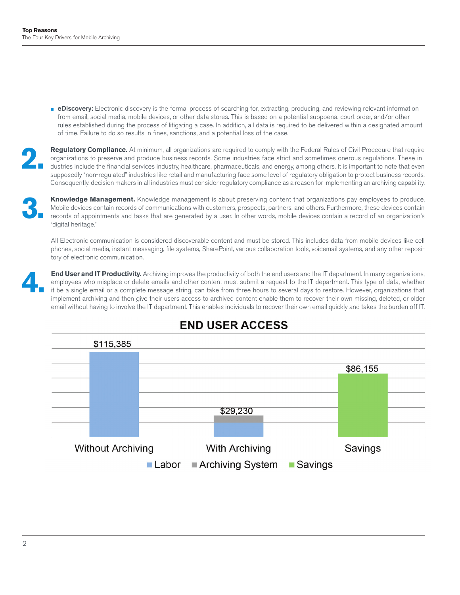**EDISCOVERY:** Electronic discovery is the formal process of searching for, extracting, producing, and reviewing relevant information from email, social media, mobile devices, or other data stores. This is based on a potential subpoena, court order, and/or other rules established during the process of litigating a case. In addition, all data is required to be delivered within a designated amount of time. Failure to do so results in fines, sanctions, and a potential loss of the case.

Regulatory Compliance. At minimum, all organizations are required to comply with the Federal Rules of Civil Procedure that require organizations to preserve and produce business records. Some industries face strict and sometimes onerous regulations. These industries include the financial services industry, healthcare, pharmaceuticals, and energy, among others. It is important to note that even supposedly "non-regulated" industries like retail and manufacturing face some level of regulatory obligation to protect business records. Consequently, decision makers in all industries must consider regulatory compliance as a reason for implementing an archiving capability.

**3. Knowledge Management.** Knowledge management is about preserving content that organizations pay employees to produce. Mobile devices contain records of communications with customers, prospects, partners, and others. Furthermore, these devices contain records of appointments and tasks that are generated by a user. In other words, mobile devices contain a record of an organization's "digital heritage."

All Electronic communication is considered discoverable content and must be stored. This includes data from mobile devices like cell phones, social media, instant messaging, file systems, SharePoint, various collaboration tools, voicemail systems, and any other repository of electronic communication.

**End User and IT Productivity.** Archiving improves the productivity of both the end users and the IT department. In many organizations, employees who misplace or delete emails and other content must submit a request to the employees who misplace or delete emails and other content must submit a request to the IT department. This type of data, whether implement archiving and then give their users access to archived content enable them to recover their own missing, deleted, or older email without having to involve the IT department. This enables individuals to recover their own email quickly and takes the burden off IT.



# **END USER ACCESS**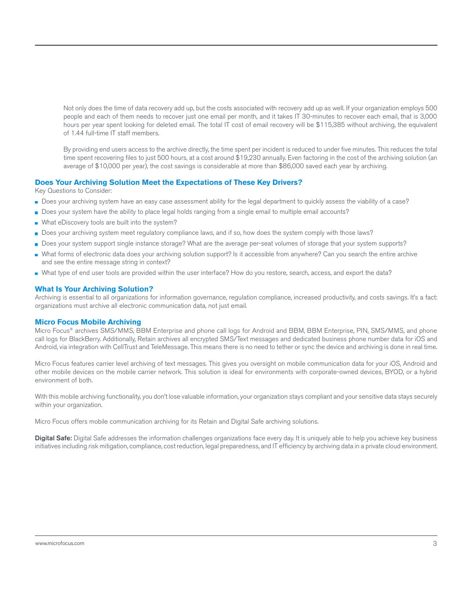Not only does the time of data recovery add up, but the costs associated with recovery add up as well. If your organization employs 500 people and each of them needs to recover just one email per month, and it takes IT 30-minutes to recover each email, that is 3,000 hours per year spent looking for deleted email. The total IT cost of email recovery will be \$115,385 without archiving, the equivalent of 1.44 full-time IT staff members.

By providing end users access to the archive directly, the time spent per incident is reduced to under five minutes. This reduces the total time spent recovering files to just 500 hours, at a cost around \$19,230 annually. Even factoring in the cost of the archiving solution (an average of \$10,000 per year), the cost savings is considerable at more than \$86,000 saved each year by archiving.

## **Does Your Archiving Solution Meet the Expectations of These Key Drivers?**

Key Questions to Consider:

- Does your archiving system have an easy case assessment ability for the legal department to quickly assess the viability of a case?
- Does your system have the ability to place legal holds ranging from a single email to multiple email accounts?
- What eDiscovery tools are built into the system?
- Does your archiving system meet regulatory compliance laws, and if so, how does the system comply with those laws?
- Does your system support single instance storage? What are the average per-seat volumes of storage that your system supports?
- What forms of electronic data does your archiving solution support? Is it accessible from anywhere? Can you search the entire archive and see the entire message string in context?
- What type of end user tools are provided within the user interface? How do you restore, search, access, and export the data?

### **What Is Your Archiving Solution?**

Archiving is essential to all organizations for information governance, regulation compliance, increased productivity, and costs savings. It's a fact: organizations must archive all electronic communication data, not just email.

#### **Micro Focus Mobile Archiving**

Micro Focus® archives SMS/MMS, BBM Enterprise and phone call logs for Android and BBM, BBM Enterprise, PIN, SMS/MMS, and phone call logs for BlackBerry. Additionally, Retain archives all encrypted SMS/Text messages and dedicated business phone number data for iOS and Android, via integration with CellTrust and TeleMessage. This means there is no need to tether or sync the device and archiving is done in real time.

Micro Focus features carrier level archiving of text messages. This gives you oversight on mobile communication data for your iOS, Android and other mobile devices on the mobile carrier network. This solution is ideal for environments with corporate-owned devices, BYOD, or a hybrid environment of both.

With this mobile archiving functionality, you don't lose valuable information, your organization stays compliant and your sensitive data stays securely within your organization.

Micro Focus offers mobile communication archiving for its Retain and Digital Safe archiving solutions.

Digital Safe: Digital Safe addresses the information challenges organizations face every day. It is uniquely able to help you achieve key business initiatives including risk mitigation, compliance, cost reduction, legal preparedness, and IT efficiency by archiving data in a private cloud environment.